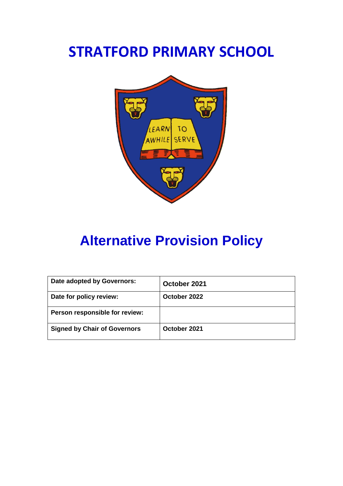# **STRATFORD PRIMARY SCHOOL**



# **Alternative Provision Policy**

| Date adopted by Governors:          | October 2021 |
|-------------------------------------|--------------|
| Date for policy review:             | October 2022 |
| Person responsible for review:      |              |
| <b>Signed by Chair of Governors</b> | October 2021 |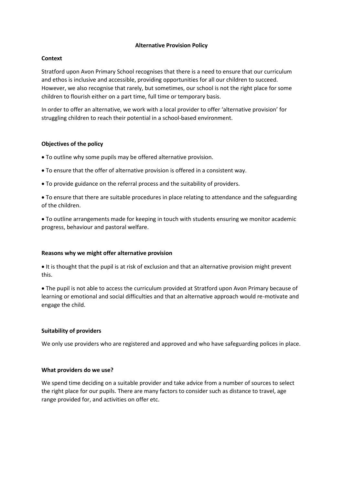### **Alternative Provision Policy**

## **Context**

Stratford upon Avon Primary School recognises that there is a need to ensure that our curriculum and ethos is inclusive and accessible, providing opportunities for all our children to succeed. However, we also recognise that rarely, but sometimes, our school is not the right place for some children to flourish either on a part time, full time or temporary basis.

In order to offer an alternative, we work with a local provider to offer 'alternative provision' for struggling children to reach their potential in a school-based environment.

## **Objectives of the policy**

• To outline why some pupils may be offered alternative provision.

- To ensure that the offer of alternative provision is offered in a consistent way.
- To provide guidance on the referral process and the suitability of providers.

• To ensure that there are suitable procedures in place relating to attendance and the safeguarding of the children.

• To outline arrangements made for keeping in touch with students ensuring we monitor academic progress, behaviour and pastoral welfare.

## **Reasons why we might offer alternative provision**

• It is thought that the pupil is at risk of exclusion and that an alternative provision might prevent this.

• The pupil is not able to access the curriculum provided at Stratford upon Avon Primary because of learning or emotional and social difficulties and that an alternative approach would re-motivate and engage the child.

## **Suitability of providers**

We only use providers who are registered and approved and who have safeguarding polices in place.

## **What providers do we use?**

We spend time deciding on a suitable provider and take advice from a number of sources to select the right place for our pupils. There are many factors to consider such as distance to travel, age range provided for, and activities on offer etc.